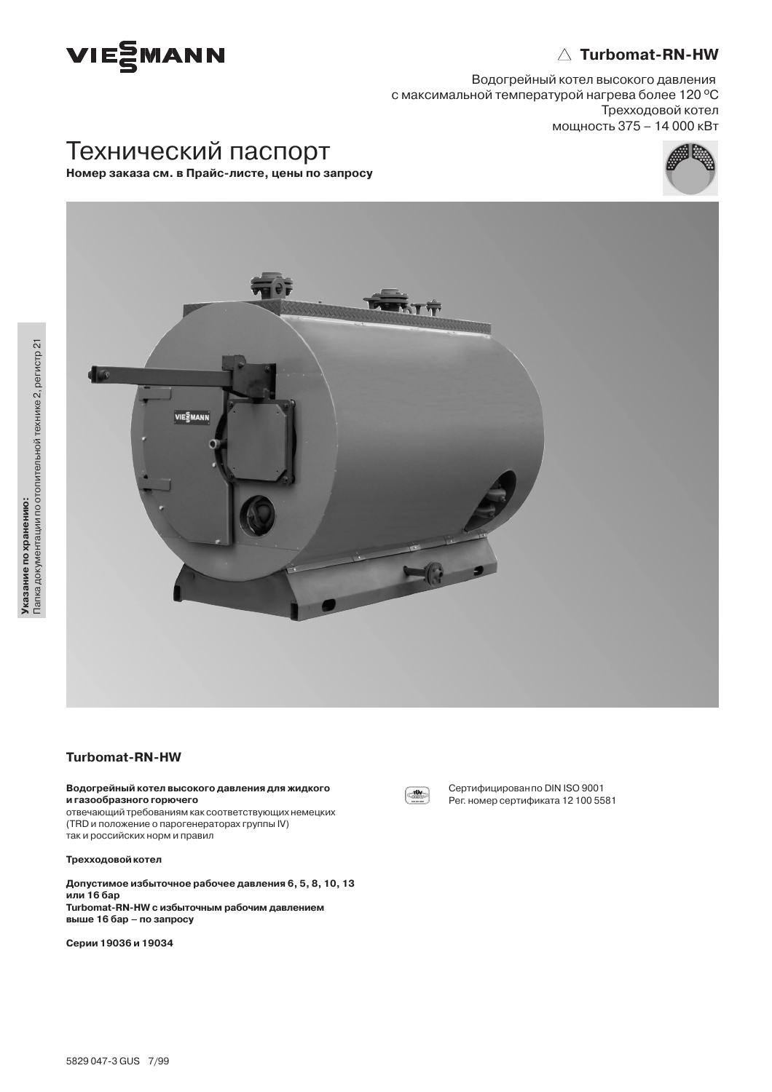

# $\triangle$  Turbomat-RN-HW

Водогрейный котел высокого давления с максимальной температурой нагрева более 120 °С Трехходовой котел мощность 375 - 14 000 кВт

# Технический паспорт

Номер заказа см. в Прайс-листе, цены по запросу





# **Turbomat-RN-HW**

#### Водогрейный котел высокого давления для жидкого и газообразного горючего

отвечающий требованиям как соответствующих немецких (TRD и положение о парогенераторах группы IV) так и российских норм и правил

## **Трехходовой котел**

Допустимое избыточное рабочее давления 6, 5, 8, 10, 13 или 16 бар Turbomat-RN-HW с избыточным рабочим давлением выше 16 бар - по запросу

Серии 19036 и 19034



Сертифицирован по DIN ISO 9001 Рег. номер сертификата 12 100 5581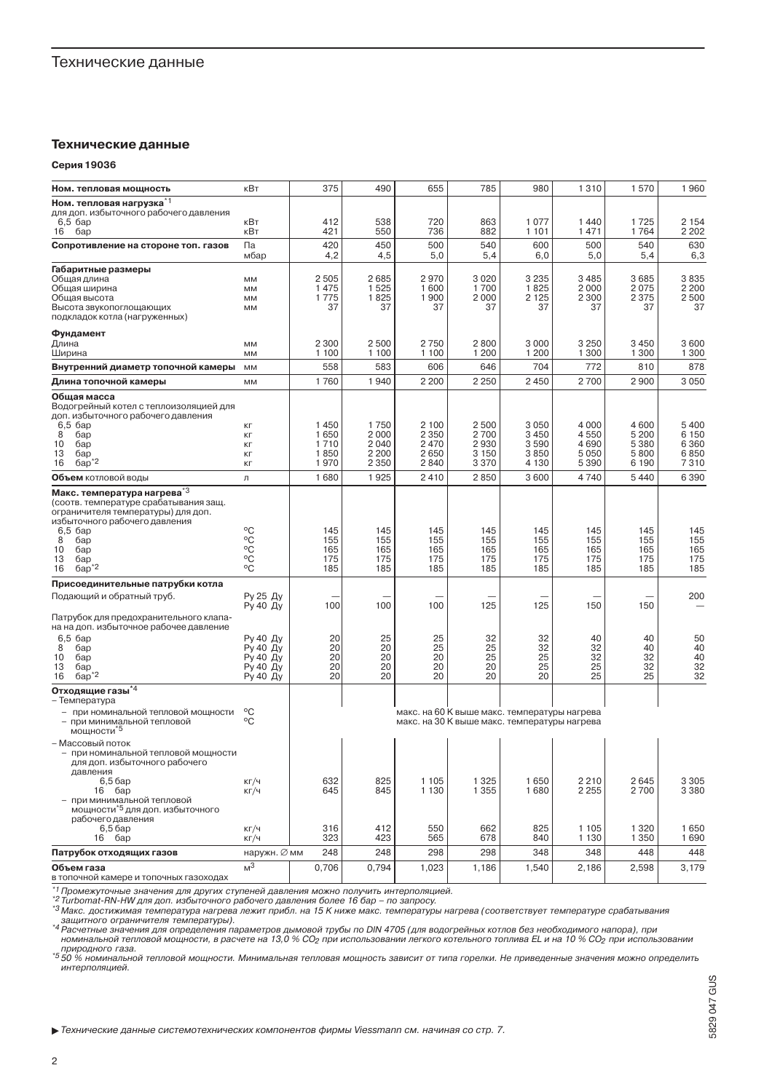## Технические данные

#### Серия 19036

| Ном. тепловая мощность                                                                                                                                                 | кВт                  | 375          | 490             | 655          | 785                                                                                          | 980             | 1310         | 1570            | 1960                                    |
|------------------------------------------------------------------------------------------------------------------------------------------------------------------------|----------------------|--------------|-----------------|--------------|----------------------------------------------------------------------------------------------|-----------------|--------------|-----------------|-----------------------------------------|
| Ном. тепловая нагрузка <sup>*1</sup>                                                                                                                                   |                      |              |                 |              |                                                                                              |                 |              |                 |                                         |
| для доп. избыточного рабочего давления<br>$6,5$ $6ap$                                                                                                                  | кВт                  | 412          | 538             | 720          | 863                                                                                          | 1077            | 1440         | 1725            | 2 1 5 4                                 |
| бар<br>16                                                                                                                                                              | кВт                  | 421          | 550             | 736          | 882                                                                                          | 1 1 0 1         | 1471         | 1764            | 2 2 0 2                                 |
| Сопротивление на стороне топ. газов                                                                                                                                    | Па<br>мбар           | 420<br>4,2   | 450<br>4,5      | 500<br>5,0   | 540<br>5,4                                                                                   | 600<br>6,0      | 500<br>5,0   | 540<br>5,4      | 630<br>6,3                              |
| Габаритные размеры                                                                                                                                                     |                      |              |                 |              |                                                                                              |                 |              |                 |                                         |
| Общая длина<br>Общая ширина                                                                                                                                            | MM<br>MM             | 2505<br>1475 | 2685<br>1525    | 2970<br>1600 | 3020<br>1700                                                                                 | 3 2 3 5<br>1825 | 3485<br>2000 | 3685<br>2075    | 3835<br>2 2 0 0                         |
| Общая высота                                                                                                                                                           | MM                   | 1775         | 1825            | 1900         | 2000                                                                                         | 2 1 2 5         | 2 3 0 0      | 2 3 7 5         | 2500                                    |
| Высота звукопоглощающих                                                                                                                                                | MM                   | 37           | 37              | 37           | 37                                                                                           | 37              | 37           | 37              | 37                                      |
| подкладок котла (нагруженных)                                                                                                                                          |                      |              |                 |              |                                                                                              |                 |              |                 |                                         |
| Фундамент                                                                                                                                                              |                      | 2 3 0 0      | 2500            | 2750         | 2800                                                                                         | 3 0 0 0         | 3 2 5 0      | 3450            | 3600                                    |
| Длина<br>Ширина                                                                                                                                                        | MM<br>MM             | 1 1 0 0      | 1 100           | 1 100        | 1 200                                                                                        | 1 200           | 1 3 0 0      | 1 300           | 1 300                                   |
| Внутренний диаметр топочной камеры                                                                                                                                     | MM                   | 558          | 583             | 606          | 646                                                                                          | 704             | 772          | 810             | 878                                     |
| Длина топочной камеры                                                                                                                                                  | MM                   | 1760         | 1940            | 2 2 0 0      | 2 2 5 0                                                                                      | 2450            | 2700         | 2900            | 3 0 5 0                                 |
| Общая масса                                                                                                                                                            |                      |              |                 |              |                                                                                              |                 |              |                 |                                         |
| Водогрейный котел с теплоизоляцией для                                                                                                                                 |                      |              |                 |              |                                                                                              |                 |              |                 |                                         |
| доп. избыточного рабочего давления<br>$6,5$ $6ap$                                                                                                                      | KГ                   | 1450         | 1750            | 2 100        | 2500                                                                                         | 3050            | 4 0 0 0      | 4600            | 5400                                    |
| 8<br>бар                                                                                                                                                               | KГ                   | 1650         | 2000            | 2 3 5 0      | 2700                                                                                         | 3450            | 4550         | 5 200           | 6 150                                   |
| 10<br>бар<br>13<br>бар                                                                                                                                                 | KГ<br>KГ             | 1710<br>1850 | 2040<br>2 2 0 0 | 2470<br>2650 | 2930<br>3 1 5 0                                                                              | 3590<br>3850    | 4690<br>5050 | 5 3 8 0<br>5800 | 6 3 6 0<br>6850                         |
| $6ap^*{}^2$<br>16                                                                                                                                                      | KГ                   | 1970         | 2 3 5 0         | 2840         | 3370                                                                                         | 4 1 3 0         | 5 3 9 0      | 6 190           | 7310                                    |
| <b>Объем</b> котловой воды                                                                                                                                             | Л                    | 1680         | 1925            | 2410         | 2850                                                                                         | 3600            | 4740         | 5 4 4 0         | 6 3 9 0                                 |
| Макс. температура нагрева*3<br>(соотв. температуре срабатывания защ.<br>ограничителя температуры) для доп.<br>избыточного рабочего давления<br>$6.5$ $6ap$<br>8<br>бар | °C<br>°C             | 145<br>155   | 145<br>155      | 145<br>155   | 145<br>155                                                                                   | 145<br>155      | 145<br>155   | 145<br>155      | 145<br>155                              |
| 10<br>бар                                                                                                                                                              | °C                   | 165          | 165             | 165          | 165                                                                                          | 165             | 165          | 165             | 165                                     |
| 13<br>бар<br>$6ap^*{}^2$<br>16                                                                                                                                         | °C<br>°C             | 175<br>185   | 175<br>185      | 175<br>185   | 175<br>185                                                                                   | 175<br>185      | 175<br>185   | 175<br>185      | 175<br>185                              |
| Присоединительные патрубки котла                                                                                                                                       |                      |              |                 |              |                                                                                              |                 |              |                 |                                         |
| Подающий и обратный труб.                                                                                                                                              | Ру 25 Ду             |              |                 |              |                                                                                              |                 |              |                 | 200                                     |
|                                                                                                                                                                        | Ру 40 Ду             | 100          | 100             | 100          | 125                                                                                          | 125             | 150          | 150             |                                         |
| Патрубок для предохранительного клапа-<br>на на доп. избыточное рабочее давление                                                                                       |                      |              |                 |              |                                                                                              |                 |              |                 |                                         |
| $6,5$ $6ap$<br>8<br>бар                                                                                                                                                | Ру 40 Ду<br>Ру 40 Ду | 20<br>20     | 25<br>20        | 25<br>25     | 32<br>25                                                                                     | 32<br>32        | 40<br>32     | 40<br>40        | 50<br>40                                |
| 10<br>бар                                                                                                                                                              | Ру 40 Ду             | 20           | 20              | 20           | 25                                                                                           | 25              | 32           | 32              | 40                                      |
| 13<br>бар<br>$6ap^*2$<br>16                                                                                                                                            | Ру 40 Ду<br>Ру 40 Ду | 20<br>20     | 20<br>20        | 20<br>20     | 20<br>20                                                                                     | 25<br>20        | 25<br>25     | 32<br>25        | $\begin{array}{c} 32 \\ 32 \end{array}$ |
| Отходящие газы $^{\star 4}$<br>– Температура                                                                                                                           |                      |              |                 |              |                                                                                              |                 |              |                 |                                         |
| - при номинальной тепловой мощности<br>- при минимальной тепловой                                                                                                      | °C<br>°C             |              |                 |              | макс. на 60 К выше макс. температуры нагрева<br>макс. на 30 К выше макс. температуры нагрева |                 |              |                 |                                         |
| мощности*5                                                                                                                                                             |                      |              |                 |              |                                                                                              |                 |              |                 |                                         |
| – Массовый поток<br>- при номинальной тепловой мощности<br>для доп. избыточного рабочего<br>давления<br>6,56ap                                                         | КГ/Ч                 | 632          | 825             | 1 1 0 5      | 1 3 2 5                                                                                      | 1650            | 2210         | 2645            | 3 3 0 5                                 |
| $16$ $6ap$<br>- при минимальной тепловой<br>мощности*5 для доп. избыточного<br>рабочего давления                                                                       | KT/4                 | 645          | 845             | 1 1 3 0      | 1 3 5 5                                                                                      | 1680            | 2 2 5 5      | 2700            | 3 3 8 0                                 |
| 6,56ap                                                                                                                                                                 | KT/4                 | 316          | 412             | 550          | 662                                                                                          | 825             | 1 1 0 5      | 1 3 2 0         | 1650                                    |
| 16 <sub>бар</sub>                                                                                                                                                      | KT/4                 | 323          | 423             | 565          | 678                                                                                          | 840             | 1 1 3 0      | 1 3 5 0         | 1690                                    |
| Патрубок отходящих газов                                                                                                                                               | наружн. ⊘ мм         | 248          | 248             | 298          | 298                                                                                          | 348             | 348          | 448             | 448                                     |
| Объем газа<br>в топочной камере и топочных газоходах                                                                                                                   | M <sup>3</sup>       | 0,706        | 0,794           | 1,023        | 1,186                                                                                        | 1,540           | 2,186        | 2,598           | 3.179                                   |

в топочной камере и топочных газоходах<br>"Промежуточные значения для других ступеней давления можно получить интерполяцией.<br>"З Turbomat-RN-HW для доп. избыточного рабочего давления более 16 бар – по запросу.<br>"З Makc. достиж

природного газа.<br>природного газа.<br>50 % номинальной тепловой мощности. Минимальная тепловая мощность зависит от типа горелки. Не приведенные значения можно определить интерполяцией.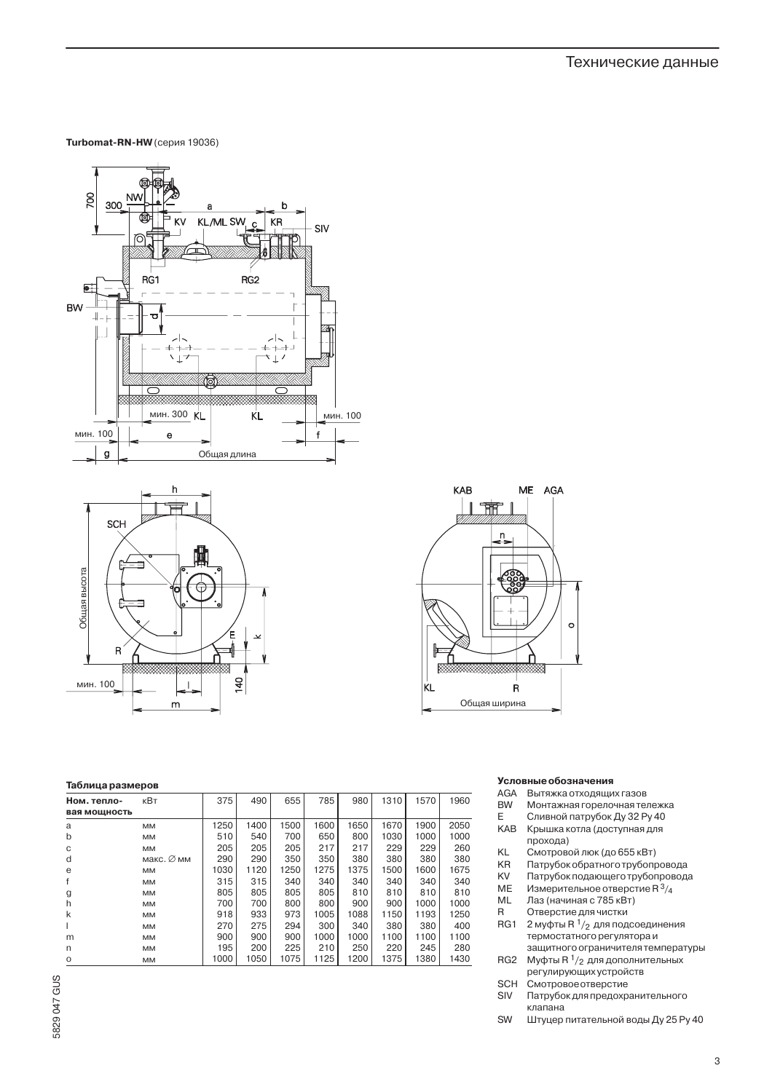Turbomat-RN-HW (серия 19036)





# KAB ME AGA  $\mathbb{I}$  if  $\mathbb{F}$ 'n  $\sim$ **ESSENTE SERVICE DE LA CONSTANT DE LA CONSTANT DE LA CONSTANT DE LA CONSTANT DE LA CONSTANT DE LA CONSTANT DE L** KL.  $\ddot{\mathsf{R}}$ Общая ширина

# Таблица размеров

| Ном. тепло-  | кВт        | 375  | 490  | 655  | 785  | 980  | 1310 | 1570 | 1960 |
|--------------|------------|------|------|------|------|------|------|------|------|
| вая мощность |            |      |      |      |      |      |      |      |      |
| a            | <b>MM</b>  | 1250 | 1400 | 1500 | 1600 | 1650 | 1670 | 1900 | 2050 |
| b            | <b>MM</b>  | 510  | 540  | 700  | 650  | 800  | 1030 | 1000 | 1000 |
| C            | <b>MM</b>  | 205  | 205  | 205  | 217  | 217  | 229  | 229  | 260  |
| d            | макс. Ø мм | 290  | 290  | 350  | 350  | 380  | 380  | 380  | 380  |
| e            | <b>MM</b>  | 1030 | 1120 | 1250 | 1275 | 1375 | 1500 | 1600 | 1675 |
|              | <b>MM</b>  | 315  | 315  | 340  | 340  | 340  | 340  | 340  | 340  |
| g            | <b>MM</b>  | 805  | 805  | 805  | 805  | 810  | 810  | 810  | 810  |
| h            | <b>MM</b>  | 700  | 700  | 800  | 800  | 900  | 900  | 1000 | 1000 |
| k            | <b>MM</b>  | 918  | 933  | 973  | 1005 | 1088 | 1150 | 1193 | 1250 |
|              | <b>MM</b>  | 270  | 275  | 294  | 300  | 340  | 380  | 380  | 400  |
| m            | <b>MM</b>  | 900  | 900  | 900  | 1000 | 1000 | 1100 | 1100 | 1100 |
| n            | <b>MM</b>  | 195  | 200  | 225  | 210  | 250  | 220  | 245  | 280  |
| O            | <b>MM</b>  | 1000 | 1050 | 1075 | 1125 | 1200 | 1375 | 1380 | 1430 |

## Условные обозначения

- AGA Вытяжка отходящих газов
- **BW** Монтажная горелочная тележка
- E Сливной патрубок Ду 32 Ру 40 KAB Крышка котла (доступная для прохода)
- KL Смотровой люк (до 655 кВт)
- Патрубок обратного трубопровода KR
- KV Патрубок подающего трубопровода
- ME Измерительное отверстие  $R^3/4$
- Лаз (начиная с 785 кВт)  $\sf ML$
- $\sf R$ Отверстие для чистки
- RG1 2 муфты R  $1/2$  для подсоединения термостатного регулятора и защитного ограничителя температуры
- RG<sub>2</sub> Муфты R 1/<sub>2</sub> для дополнительных регулирующих устройств **SCH** Смотровое отверстие
- Патрубок для предохранительного SIV клапана
- SW Штуцер питательной воды Ду 25 Ру 40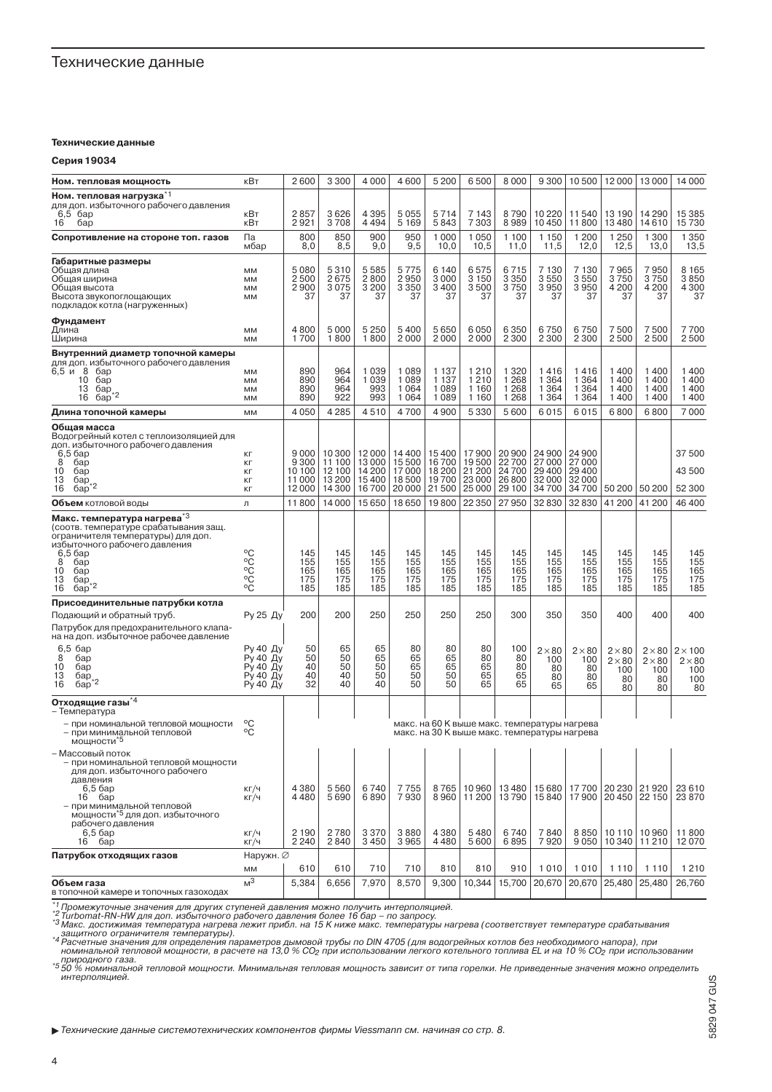# Технические данные

#### Технические данные

Серия 19034

| Ном. тепловая мощность                                                                                                                                                                                                                | кВт                                                      | 2600                                                                                         | 3 3 0 0                                        | 4 0 0 0                                    | 4600                                          | 5 200                                      | 6500                                         | 8 0 0 0                                      | 9300                                               | 10500                                        | 12000                                             | 13000                                             | 14 000                                              |
|---------------------------------------------------------------------------------------------------------------------------------------------------------------------------------------------------------------------------------------|----------------------------------------------------------|----------------------------------------------------------------------------------------------|------------------------------------------------|--------------------------------------------|-----------------------------------------------|--------------------------------------------|----------------------------------------------|----------------------------------------------|----------------------------------------------------|----------------------------------------------|---------------------------------------------------|---------------------------------------------------|-----------------------------------------------------|
| Ном. тепловая нагрузка <sup>*1</sup>                                                                                                                                                                                                  |                                                          |                                                                                              |                                                |                                            |                                               |                                            |                                              |                                              |                                                    |                                              |                                                   |                                                   |                                                     |
| для доп. избыточного рабочего давления<br>$6,5$ $6ap$                                                                                                                                                                                 | кВт                                                      | 2857                                                                                         | 3626                                           | 4 3 9 5                                    | 5055                                          | 5 7 1 4                                    | 7 143                                        | 8790                                         | 10 2 20                                            | 11540                                        | 13 190                                            | 14 290                                            | 15 385                                              |
| 16<br>бар                                                                                                                                                                                                                             | кВт                                                      | 2921                                                                                         | 3708                                           | 4494                                       | 5 1 6 9                                       | 5843                                       | 7 3 0 3                                      | 8989                                         | 10450                                              | 11800                                        | 13480                                             | 14610                                             | 15730                                               |
| Сопротивление на стороне топ. газов                                                                                                                                                                                                   | Па<br>мбар                                               | 800<br>8,0                                                                                   | 850<br>8,5                                     | 900<br>9,0                                 | 950<br>9,5                                    | 1 0 0 0<br>10,0                            | 1050<br>10,5                                 | 1 100<br>11,0                                | 1 1 5 0<br>11,5                                    | 1 200<br>12,0                                | 1 250<br>12,5                                     | 1 300<br>13,0                                     | 1 3 5 0<br>13,5                                     |
| Габаритные размеры<br>Общая длина<br>Общая ширина<br>Общая высота<br>Высота звукопоглощающих<br>подкладок котла (нагруженных)                                                                                                         | MM<br>MM<br>MM<br>MM                                     | 5080<br>2500<br>2900<br>37                                                                   | 5310<br>2675<br>3075<br>37                     | 5585<br>2800<br>3 2 0 0<br>37              | 5 7 7 5<br>2950<br>3 3 5 0<br>37              | 6 140<br>3000<br>3400<br>37                | 6575<br>3 1 5 0<br>3500<br>37                | 6715<br>3 3 5 0<br>3750<br>37                | 7 130<br>3550<br>3950<br>37                        | 7 130<br>3550<br>3950<br>37                  | 7965<br>3750<br>4 200<br>37                       | 7950<br>3750<br>4 200<br>37                       | 8 1 6 5<br>3850<br>4 300<br>37                      |
| Фундамент<br>Длина<br>Ширина                                                                                                                                                                                                          | MM<br>MM                                                 | 4800<br>1700                                                                                 | 5000<br>1800                                   | 5 2 5 0<br>1800                            | 5 400<br>2000                                 | 5650<br>2000                               | 6050<br>2000                                 | 6 3 5 0<br>2 3 0 0                           | 6750<br>2 3 0 0                                    | 6750<br>2 3 0 0                              | 7500<br>2500                                      | 7500<br>2500                                      | 7700<br>2500                                        |
| Внутренний диаметр топочной камеры<br>для доп. избыточного рабочего давления<br>6,5 и 8 бар<br>10<br>бар<br>13<br>бар<br>$6a\overline{p}^*$ <sup>2</sup><br>16                                                                        | MM<br>MM<br>MM<br>MM                                     | 890<br>890<br>890<br>890                                                                     | 964<br>964<br>964<br>922                       | 1039<br>1039<br>993<br>993                 | 1089<br>1089<br>1064<br>1064                  | 1 1 3 7<br>1 1 3 7<br>1089<br>1089         | 1210<br>1210<br>1 1 6 0<br>1 1 6 0           | 1 3 2 0<br>1 2 6 8<br>1 2 6 8<br>1 2 6 8     | 1416<br>1 3 6 4<br>1 3 6 4<br>1 3 6 4              | 1416<br>1 3 6 4<br>1 3 6 4<br>1 3 6 4        | 1400<br>1400<br>1400<br>1400                      | 1400<br>1400<br>1400<br>1400                      | 1400<br>1400<br>1 400<br>1400                       |
| Длина топочной камеры                                                                                                                                                                                                                 | MM                                                       | 4 0 5 0                                                                                      | 4 2 8 5                                        | 4510                                       | 4700                                          | 4900                                       | 5 3 3 0                                      | 5600                                         | 6015                                               | 6015                                         | 6800                                              | 6800                                              | 7000                                                |
| Общая масса<br>Водогрейный котел с теплоизоляцией для<br>доп. избыточного рабочего давления<br>$6,56$ ap<br>8<br>бар<br>10<br>бар<br>13<br>бар<br>$6ap^*{}^2$<br>16                                                                   | KГ<br>KГ<br>KГ<br>KГ<br>KГ                               | 9000<br>9 3 0 0<br>10 100<br>11000<br>12000                                                  | 10 300<br>11 100<br>12 100<br>13 200<br>14 300 | 12000<br>13000<br>14 200<br>15400<br>16700 | 14 400<br>15 500<br>17000<br>18 500<br>20 000 | 15400<br>16700<br>18 200<br>19700<br>21500 | 17900<br>19500<br>21 200<br>23 000<br>25 000 | 20 900<br>22700<br>24700<br>26 800<br>29 100 | 24 900<br>27 000<br>29 400<br>32000<br>34700       | 24 900<br>27 000<br>29 400<br>32000<br>34700 | 50 200                                            | 50 200                                            | 37 500<br>43 500<br>52 300                          |
| <b>Объем</b> котловой воды                                                                                                                                                                                                            | Л                                                        | 11800                                                                                        | 14 000                                         | 15650                                      | 18650                                         | 19800                                      | 22 3 50                                      | 27950                                        | 32830                                              | 32830                                        | 41 200                                            | 41200                                             | 46 400                                              |
| Макс. температура нагрева <sup>*3</sup><br>(соотв. температуре срабатывания защ.<br>ограничителя температуры) для доп.<br>избыточного рабочего давления<br>$6,56$ ap<br>8<br>бар<br>10<br>бар<br>13<br>бар<br>бар* <sup>2</sup><br>16 | °C<br>٥Č<br>°C<br>°Č<br>°C                               | 145<br>155<br>165<br>175<br>185                                                              | 145<br>155<br>165<br>175<br>185                | 145<br>155<br>165<br>175<br>185            | 145<br>155<br>165<br>175<br>185               | 145<br>155<br>165<br>175<br>185            | 145<br>155<br>165<br>175<br>185              | 145<br>155<br>165<br>175<br>185              | 145<br>155<br>165<br>175<br>185                    | 145<br>155<br>165<br>175<br>185              | 145<br>155<br>165<br>175<br>185                   | 145<br>155<br>165<br>175<br>185                   | 145<br>155<br>165<br>175<br>185                     |
| Присоединительные патрубки котла                                                                                                                                                                                                      |                                                          |                                                                                              |                                                |                                            |                                               |                                            |                                              |                                              |                                                    |                                              |                                                   |                                                   |                                                     |
| Подающий и обратный труб.<br>Патрубок для предохранительного клапа-<br>на на доп. избыточное рабочее давление                                                                                                                         | Ру 25 Ду                                                 | 200                                                                                          | 200                                            | 250                                        | 250                                           | 250                                        | 250                                          | 300                                          | 350                                                | 350                                          | 400                                               | 400                                               | 400                                                 |
| $6,5$ $6ap$<br>8<br>бар<br>10<br>бар<br>13<br>бар<br>16<br>бар                                                                                                                                                                        | Ру 40 Ду<br>Ру 40 Ду<br>Ру 40 Ду<br>Ру 40 Ду<br>Ру 40 Ду | 50<br>50<br>40<br>40<br>32                                                                   | 65<br>50<br>50<br>40<br>40                     | 65<br>65<br>50<br>50<br>40                 | 80<br>65<br>65<br>50<br>50                    | 80<br>65<br>65<br>50<br>50                 | 80<br>80<br>65<br>65<br>65                   | 100<br>80<br>80<br>65<br>65                  | $2 \times 80$<br>100<br>80<br>80<br>65             | $2 \times 80$<br>100<br>80<br>80<br>65       | $2 \times 80$<br>$2 \times 80$<br>100<br>80<br>80 | $2 \times 80$<br>$2 \times 80$<br>100<br>80<br>80 | $2 \times 100$<br>$2 \times 80$<br>100<br>100<br>80 |
| Отходящие газы <sup>*4</sup><br>– Температура<br>- при номинальной тепловой мощности<br>– при минимальной тепловой<br>мощности*5                                                                                                      | $^{\circ}$ C<br>°C                                       | макс. на 60 К выше макс. температуры нагрева<br>макс. на 30 К выше макс. температуры нагрева |                                                |                                            |                                               |                                            |                                              |                                              |                                                    |                                              |                                                   |                                                   |                                                     |
| – Массовый поток<br>- при номинальной тепловой мощности<br>для доп. избыточного рабочего<br>давления<br>6,5 бар<br>$16$ $6ap$<br>- при минимальной тепловой<br>мощности <sup>*5</sup> для доп. избыточного<br>рабочего давления       | КГ/Ч<br>КГ/Ч                                             | 4 3 8 0<br>4480                                                                              | 5560<br>5690                                   | 6740<br>6890                               | 7755<br>7930                                  | $\blacksquare$<br>8765<br>8960             | $\mathbf{I}$<br>10960<br>11 200              | 13480<br>13790                               | and the state<br>and the control<br>15680<br>15840 | 17700<br>17900                               | 20 230<br>20 450 22 150                           | 21920                                             | 23 6 10<br>23 870                                   |
| $6,56$ ap<br>16<br>бар                                                                                                                                                                                                                | КГ/Ч<br>КГ/Ч                                             | 2 1 9 0<br>2 2 4 0                                                                           | 2780<br>2840                                   | 3370<br>3450                               | 3880<br>3965                                  | 4 3 8 0<br>4480                            | 5480<br>5600                                 | 6740<br>6895                                 | 7840<br>7920                                       | 8850<br>9050                                 | 10 110 10 960<br>10 340                           | 11210                                             | 11 800<br>12070                                     |
| Патрубок отходящих газов                                                                                                                                                                                                              | Наружн. ⊘                                                |                                                                                              |                                                |                                            |                                               |                                            |                                              |                                              |                                                    |                                              |                                                   |                                                   |                                                     |
|                                                                                                                                                                                                                                       | MM                                                       | 610                                                                                          | 610                                            | 710                                        | 710                                           | 810                                        | 810                                          | 910                                          | 1010                                               | 1010                                         | 1 1 1 0                                           | 1 1 1 0                                           | 1 2 1 0                                             |
| Объем газа<br>REBOVOCCE VIJUNDO IN TORNICA NOUNCRES                                                                                                                                                                                   | M <sup>3</sup>                                           | 5,384                                                                                        | 6,656                                          | 7,970                                      | 8,570                                         | 9,300                                      | 10,344                                       | 15,700                                       | 20,670                                             | 20,670                                       | 25,480                                            | 25,480                                            | 26,760                                              |

в топочной камере и топочных газоходах<br>"Промежуточные значения для других ступеней давления можно получить интерполяцией.<br>"З Turbomat-RN-HW для доп. избыточного рабочего давления более 16 бар – по запросу.<br>"З Make: достиж

природного тепловой мощности, в расчете на то, о % соутри использовании легкого котельного топлива ЕЕ и на то % соутри использовании<br>\*5 50 % номинальной тепловой мощности. Минимальная тепловая мощность зависит от типа гор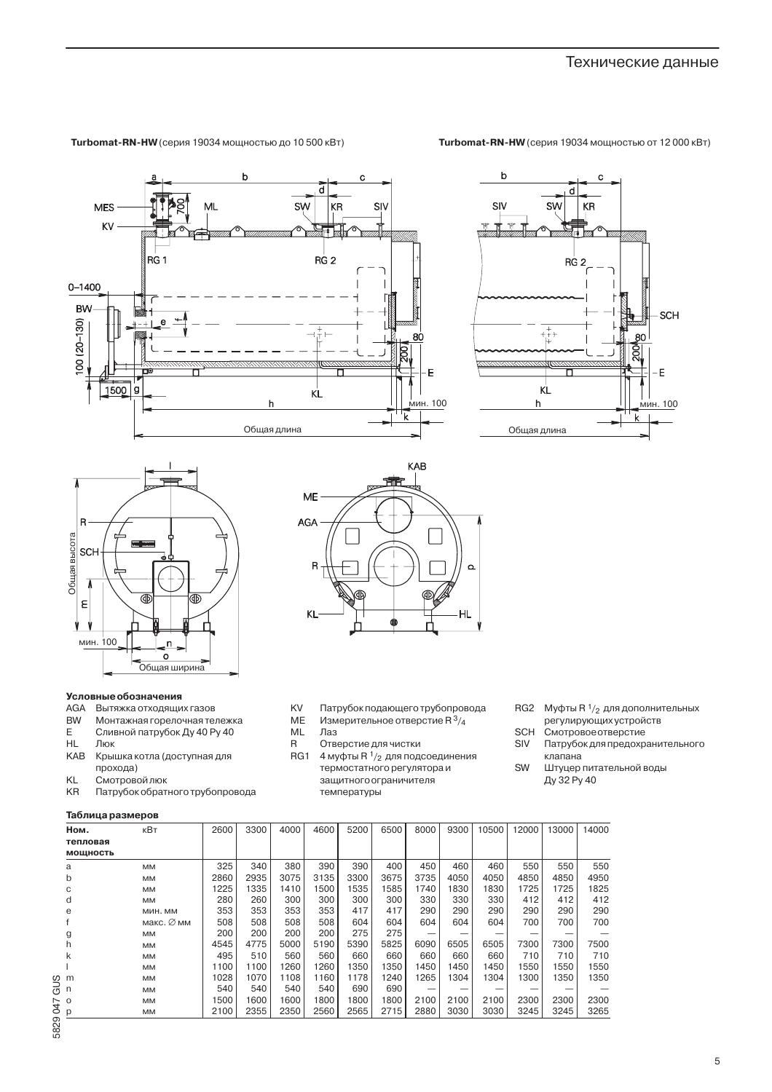#### Turbomat-RN-HW (серия 19034 мощностью от 12 000 кВт)

Turbomat-RN-HW (серия 19034 мощностью до 10 500 кВт)







## **Условные обозначения**

- **AGA** Вытяжка отходящих газов
- **BW Монтажная горелочная тележка**
- $\mathsf E$ Сливной патрубок Ду 40 Ру 40
- $HL$ Люк
- KAB Крышка котла (доступная для прохода)
- **KL** Смотровой люк
- KR Патрубок обратного трубопровода

# Таблица размеров



- **KV** Патрубок подающего трубопровода
- **ME** Измерительное отверстие R 3/4
- $ML$ Лаз
- Отверстие для чистки  $\mathsf{R}$
- RG1 4 муфты R  $1/2$  для подсоединения термостатного регулятора и защитного ограничителя температуры
- RG2 Муфты R 1/2 для дополнительных регулирующих устройств
- SCH Смотровое отверстие
- SIV Патрубок для предохранительного клапана
- SW Штуцер питательной воды Ду 32 Ру 40

| Ном.<br>тепловая | кВт        | 2600 | 3300 | 4000 | 4600 | 5200 | 6500 | 8000 | 9300 | 10500 | 12000  | 13000 | 14000 |
|------------------|------------|------|------|------|------|------|------|------|------|-------|--------|-------|-------|
| мощность         |            |      |      |      |      |      |      |      |      |       |        |       |       |
| a                | MM         | 325  | 340  | 380  | 390  | 390  | 400  | 450  | 460  | 460   | 550    | 550   | 550   |
| b                | MM         | 2860 | 2935 | 3075 | 3135 | 3300 | 3675 | 3735 | 4050 | 4050  | 4850   | 4850  | 4950  |
|                  | <b>MM</b>  | 1225 | 1335 | 1410 | 1500 | 1535 | 1585 | 1740 | 1830 | 1830  | 1725   | 1725  | 1825  |
| d                | MM         | 280  | 260  | 300  | 300  | 300  | 300  | 330  | 330  | 330   | 412    | 412   | 412   |
| e                | МИН. ММ    | 353  | 353  | 353  | 353  | 417  | 417  | 290  | 290  | 290   | 290    | 290   | 290   |
|                  | макс. Ø мм | 508  | 508  | 508  | 508  | 604  | 604  | 604  | 604  | 604   | 700    | 700   | 700   |
| g                | <b>MM</b>  | 200  | 200  | 200  | 200  | 275  | 275  | -    |      |       |        |       |       |
| h                | <b>MM</b>  | 4545 | 4775 | 5000 | 5190 | 5390 | 5825 | 6090 | 6505 | 6505  | 7300   | 7300  | 7500  |
| k                | <b>MM</b>  | 495  | 510  | 560  | 560  | 660  | 660  | 660  | 660  | 660   | 710    | 710   | 710   |
|                  | <b>MM</b>  | 1100 | 1100 | 1260 | 1260 | 1350 | 1350 | 1450 | 1450 | 1450  | 1550   | 1550  | 1550  |
| m                | MM         | 1028 | 1070 | 1108 | 1160 | 1178 | 1240 | 1265 | 1304 | 1304  | 1300   | 1350  | 1350  |
| n                | MM         | 540  | 540  | 540  | 540  | 690  | 690  |      | -    |       | $\sim$ |       |       |
| $\Omega$         | MM         | 1500 | 1600 | 1600 | 1800 | 1800 | 1800 | 2100 | 2100 | 2100  | 2300   | 2300  | 2300  |
| р                | MM         | 2100 | 2355 | 2350 | 2560 | 2565 | 2715 | 2880 | 3030 | 3030  | 3245   | 3245  | 3265  |
|                  |            |      |      |      |      |      |      |      |      |       |        |       |       |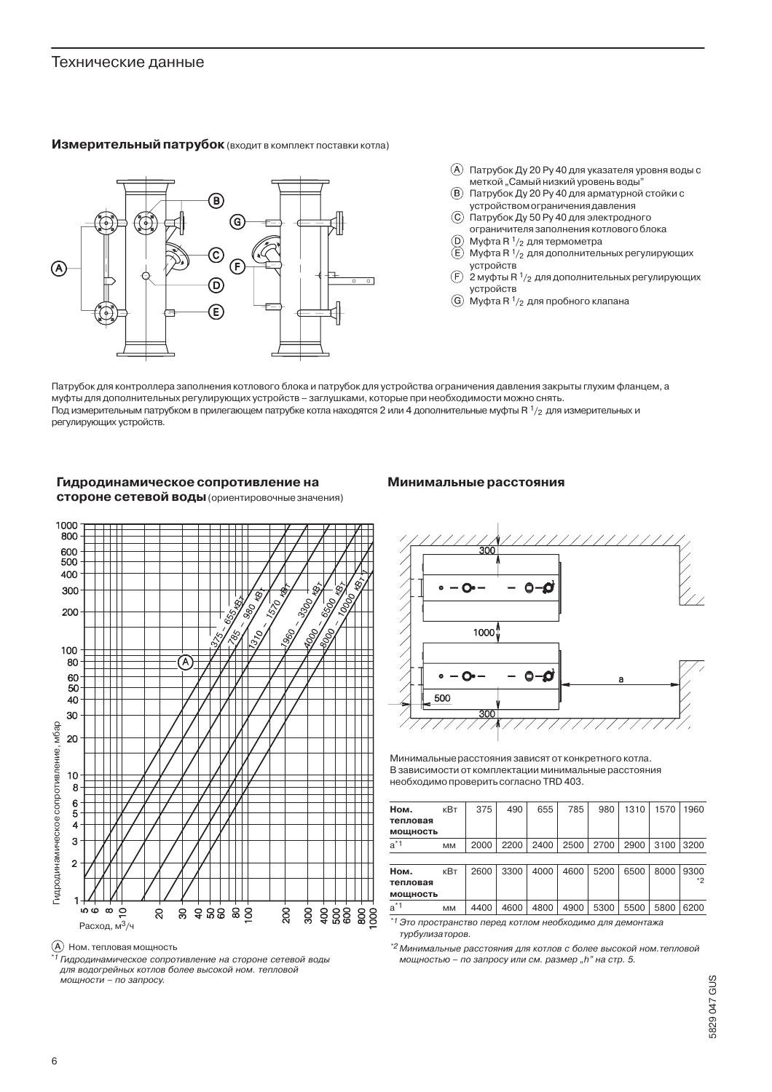# Технические данные





- (A) Патрубок Ду 20 Ру 40 для указателя уровня воды с меткой "Самый низкий уровень воды"
- (В) Патрубок Ду 20 Ру 40 для арматурной стойки с устройством ограничения давления
- **(C)** Патрубок Ду 50 Ру 40 для электродного
- ограничителя заполнения котлового блока ⋒ Муфта R  $1/2$  для термометра
- $\mathsf{E}$ Муфта R 1/<sub>2</sub> для дополнительных регулирующих устройств
- $\widehat{F}$ 2 муфты R  $1/2$  для дополнительных регулирующих устройств
- $\textcircled{G}$  Муфта R  $\frac{1}{2}$  для пробного клапана

Патрубок для контроллера заполнения котлового блока и патрубок для устройства ограничения давления закрыты глухим фланцем, а муфты для дополнительных регулирующих устройств - заглушками, которые при необходимости можно снять. Под измерительным патрубком в прилегающем патрубке котла находятся 2 или 4 дополнительные муфты R 1/2 для измерительных и регулирующих устройств.

# Гидродинамическое сопротивление на стороне сетевой воды (ориентировочные значения)

# Минимальные расстояния





\*1 Гидродинамическое сопротивление на стороне сетевой воды для водогрейных котлов более высокой ном. тепловой мощности – по запросу.



Минимальные расстояния зависят от конкретного котла. В зависимости от комплектации минимальные расстояния необходимо проверить согласно TRD 403.

| Ном.     | кВт       | 375  | 490  | 655  | 785  | 980  | 1310 | 1570 | 1960 |
|----------|-----------|------|------|------|------|------|------|------|------|
| тепловая |           |      |      |      |      |      |      |      |      |
| мощность |           |      |      |      |      |      |      |      |      |
| $a^*1$   | <b>MM</b> | 2000 | 2200 | 2400 | 2500 | 2700 | 2900 | 3100 | 3200 |
|          |           |      |      |      |      |      |      |      |      |
| Ном.     | кВт       | 2600 | 3300 | 4000 | 4600 | 5200 | 6500 | 8000 | 9300 |
| тепловая |           |      |      |      |      |      |      |      | *2   |
| мощность |           |      |      |      |      |      |      |      |      |
| $a^*1$   | MM        | 4400 | 4600 | 4800 | 4900 | 5300 | 5500 | 5800 | 6200 |

 $*1$ Это пространство перед котлом необходимо для демонтажа турбулизаторов.

 $^{*2}$ Минимальные расстояния для котлов с более высокой ном.тепловой мощностью - по запросу или см. размер "h" на стр. 5.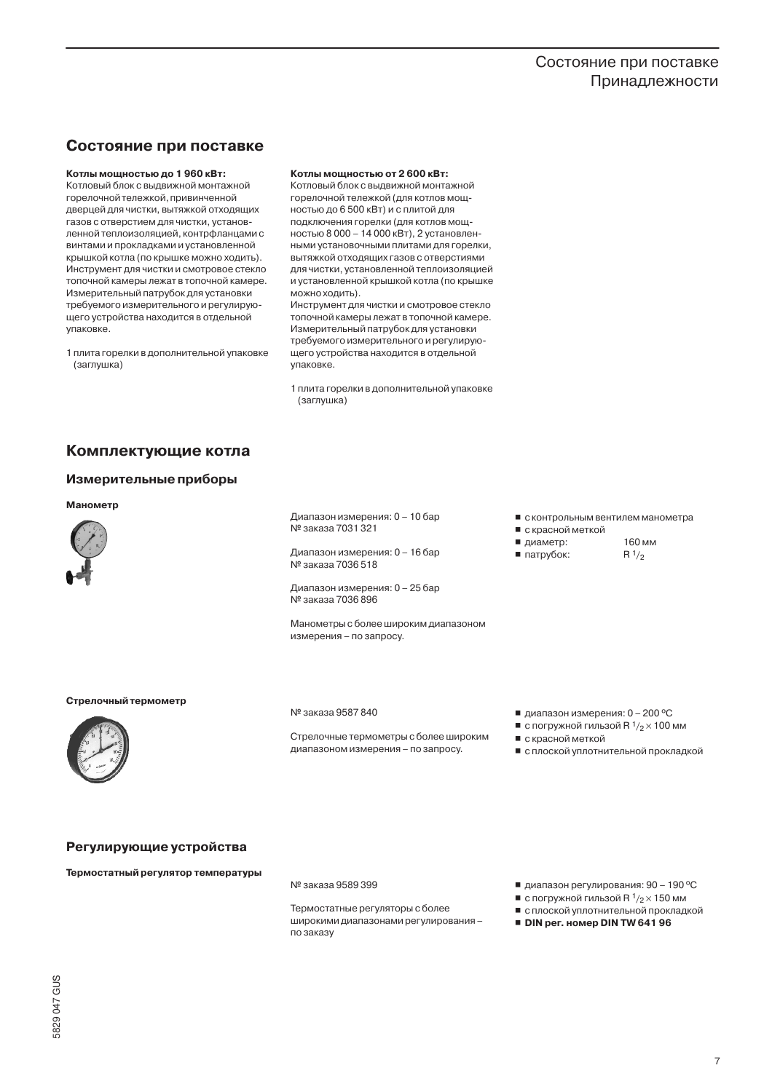# Состояние при поставке Принадлежности

# Состояние при поставке

# Котлы мощностью до 1960 кВт:

Котловый блок с выдвижной монтажной горелочной тележкой, привинченной дверцей для чистки, вытяжкой отходящих газов с отверстием для чистки, установленной теплоизоляцией, контрфланцами с винтами и прокладками и установленной крышкой котла (по крышке можно ходить). Инструмент для чистки и смотровое стекло топочной камеры лежат в топочной камере. Измерительный патрубок для установки требуемого измерительного и регулирующего устройства находится в отдельной упаковке.

1 плита горелки в дополнительной упаковке (заглушка)

#### Котлы мощностью от 2 600 кВт:

Котловый блок с выдвижной монтажной горелочной тележкой (для котлов мощностью до 6 500 кВт) и с плитой для подключения горелки (для котлов мощностью 8 000 - 14 000 кВт), 2 установленными установочными плитами для горелки, вытяжкой отходящих газов с отверстиями для чистки, установленной теплоизоляцией и установленной крышкой котла (по крышке можно ходить).

Инструмент для чистки и смотровое стекло топочной камеры лежат в топочной камере. Измерительный патрубок для установки требуемого измерительного и регулирующего устройства находится в отдельной упаковке.

1 плита горелки в дополнительной упаковке (заглушка)

# Комплектующие котла

#### Измерительные приборы

#### Манометр



Диапазон измерения: 0 - 10 бар № заказа 7031 321

Диапазон измерения: 0 - 16 бар ...<br>№ заказа 7036 518

Диапазон измерения: 0 - 25 бар № заказа 7036 896

Манометры с более широким диапазоном измерения - по запросу.

- с контрольным вентилем манометра
- с красной меткой
- 160 мм ■ диаметр:
- патрубок:  $R^{1/2}$



Стрелочный термометр

№ заказа 9587 840

Стрелочные термометры с более широким диапазоном измерения - по запросу.

- диапазон измерения:  $0 200$  °С
- с погружной гильзой R  $1/2 \times 100$  мм
- с красной меткой
- с плоской уплотнительной прокладкой

# Регулирующие устройства

Термостатный регулятор температуры

№ заказа 9589 399

Термостатные регуляторы с более широкими диапазонами регулирования по заказу

- диапазон регулирования: 90 190 °С
- с погружной гильзой R  $1/2 \times 150$  мм
- с плоской уплотнительной прокладкой DIN per. номер DIN TW 641 96

5829047 GUS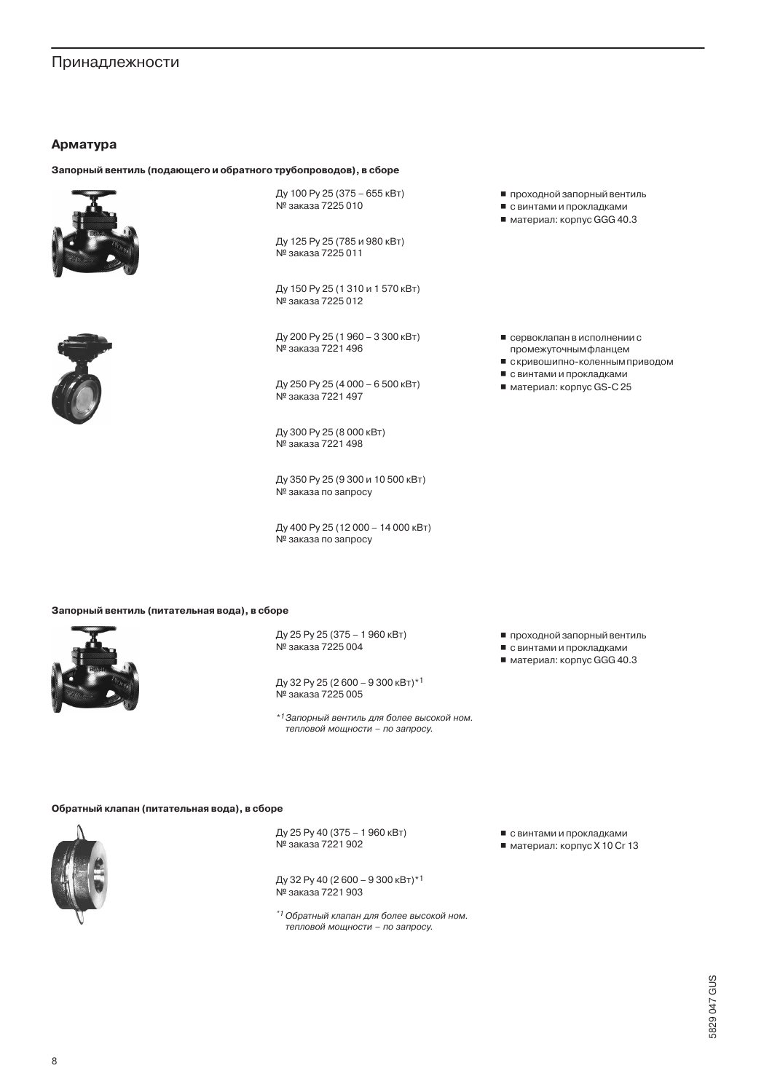# Арматура

#### Запорный вентиль (подающего и обратного трубопроводов), в сборе





Ду 100 Ру 25 (375 - 655 кВт) № заказа 7225 010

Ду 125 Ру 25 (785 и 980 кВт) № заказа 7225 011

Ду 150 Ру 25 (1310 и 1570 кВт) № заказа 7225012

Ду 200 Ру 25 (1960 - 3300 кВт) № заказа 7221 496

Ду 250 Ру 25 (4 000 - 6 500 кВт) № заказа 7221 497

Ду 300 Ру 25 (8 000 кВт) № заказа 7221 498

Ду 350 Ру 25 (9 300 и 10 500 кВт) . . .<br>№ заказа по запросу

Ду 400 Ру 25 (12 000 - 14 000 кВт) № заказа по запросу

Запорный вентиль (питательная вода), в сборе



Ду 25 Py 25 (375 - 1960 кВт) № заказа 7225 004

Ду 32 Ру 25 (2600 - 9300 кВт)\*1 № заказа 7225 005

\*<sup>1</sup>Запорный вентиль для более высокой ном. тепловой мощности - по запросу.

- проходной запорный вентиль
- с винтами и прокладками
- $\blacksquare$  материал: корпус GGG 40.3
- сервоклапан в исполнении с промежуточнымфланцем
- скривошипно-коленным приводом
- с винтами и прокладками
- материал: корпус GS-C 25

■ проходной запорный вентиль

- с винтами и прокладками
- $\blacksquare$  материал: корпус GGG 40.3

#### Обратный клапан (питательная вода), в сборе



Ду 25 Ру 40 (375 - 1960 кВт) . 19 заказа 7221 902

Ду 32 Ру 40 (2600 - 9300 кВт)\*1 . 12 заказа 7221 903

\*1 Обратный клапан для более высокой ном. тепловой мощности - по запросу.

- с винтами и прокладками
- $\blacksquare$  материал: корпус Х 10 Сг 13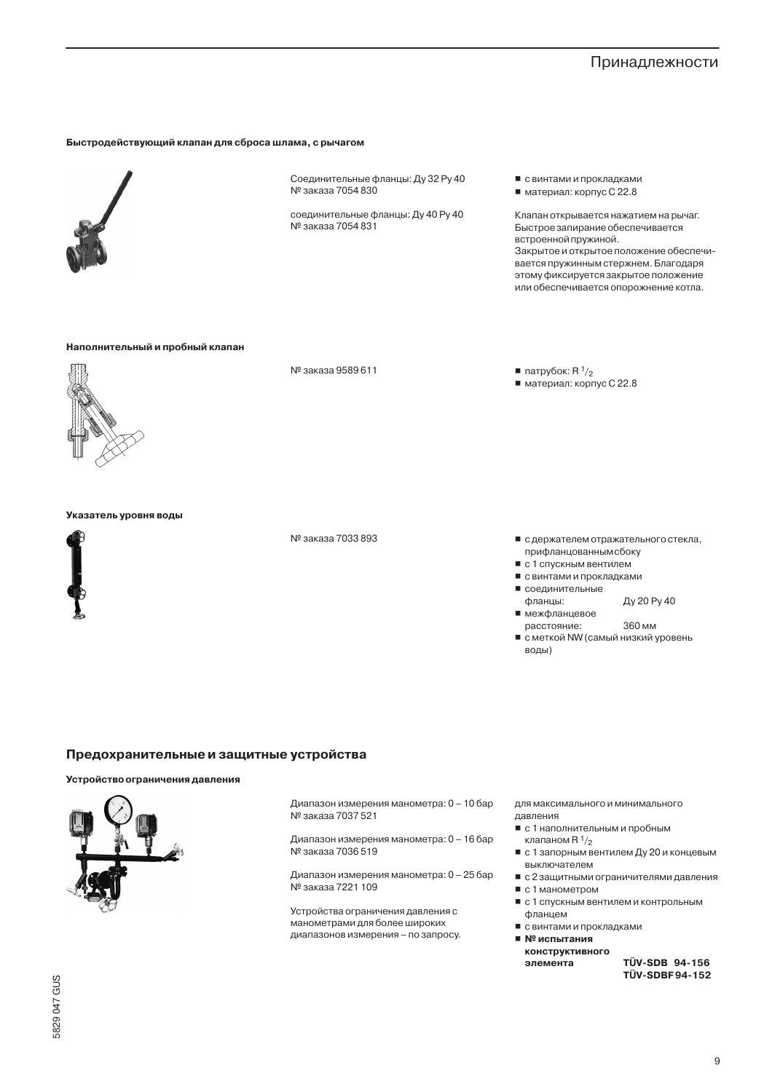#### Быстродействующий клапан для сброса шлама, с рычагом



Соединительные фланцы: Ду 32 Ру 40 Nº заказа 7054 830

соединительные фланцы: Ду 40 Ру 40 № заказа 7054 831

■ с винтами и прокладками ■ материал: корпус С 22.8

Клапан открывается нажатием на рычаг. Быстрое запирание обеспечивается встроенной пружиной. Закрытое и открытое положение обеспечивается пружинным стержнем. Благодаря этому фиксируется закрытое положение или обеспечивается опорожнение котла.

## Наполнительный и пробный клапан



№ заказа 9589 611

 $\blacksquare$  патрубок: R  $\frac{1}{2}$ ■ материал: корпус С 22.8

- с держателем отражательного стекла, прифланцованным сбоку
- с 1 спускным вентилем
- с винтами и прокладками
- соединительные
- Ду 20 Ру 40 фланцы: ■ межфланцевое
	- расстояние: 360 мм
- с меткой NW (самый низкий уровень воды)

#### Указатель уровня воды



№ заказа 7033 893

Предохранительные и защитные устройства

# Устройство ограничения давления



Диапазон измерения манометра: 0 - 10 бар . .<br>№ заказа 7037 521

Диапазон измерения манометра: 0 - 16 бар № заказа 7036 519

Диапазон измерения манометра: 0 - 25 бар № заказа 7221 109

Устройства ограничения давления с манометрами для более широких диапазонов измерения - по запросу. для максимального и минимального давления

- с 1 наполнительным и пробным клапаном  $R<sup>1</sup>/2$
- с 1 запорным вентилем Ду 20 и концевым выключателем
- с 2 защитными ограничителями давления  $\blacksquare$  с 1 манометром
- 
- с 1 спускным вентилем и контрольным фланцем
- с винтами и прокладками
- № испытания конструктивного

элемента

TÜV-SDB 94-156 **TÜV-SDBF94-152**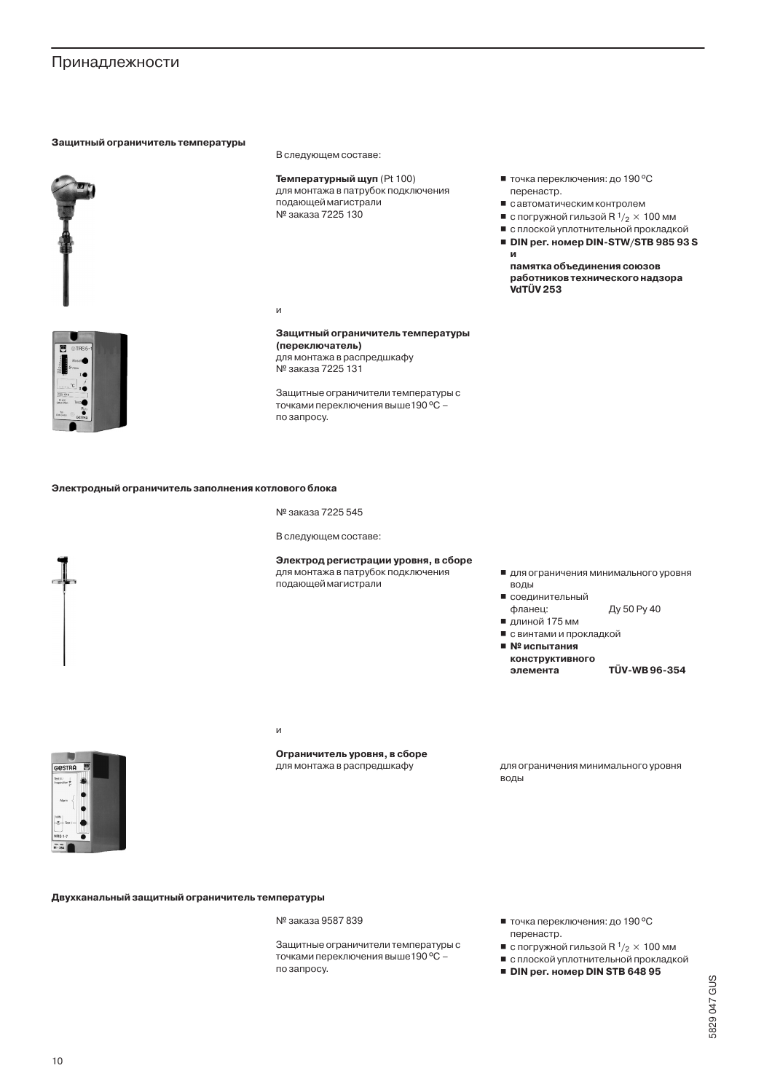# Защитный ограничитель температуры



В следующем составе:

Температурный щуп (Pt 100) для монтажа в патрубок подключения подающей магистрали № заказа 7225 130

И

#### Защитный ограничитель температуры (переключатель) для монтажа в распредшкафу ...<br>№ заказа 7225 131

Защитные ограничители температуры с точками переключения выше 190 °C по запросу.

Электродный ограничитель заполнения котлового блока

№ заказа 7225 545

В следующем составе:

# Электрод регистрации уровня, в сборе

для монтажа в патрубок подключения подающей магистрали

- для ограничения минимального уровня
- воды ■ соединительный фланец:
- Ду 50 Ру 40 ■ длиной 175 мм

■ точка переключения: до 190 °С

■ савтоматическим контролем

■ с погружной гильзой R  $1/2 \times 100$  мм ■ с плоской уплотнительной прокладкой DIN per. номер DIN-STW/STB 985 93 S

памятка объединения союзов работников технического надзора

перенастр.

VdTÜV 253

И

- с винтами и прокладкой
- $\blacksquare$  Nº испытания конструктивного элемента

TÜV-WB96-354

И

# Ограничитель уровня, в сборе

для монтажа в распредшкафу

для ограничения минимального уровня воды

Двухканальный защитный ограничитель температуры

№ заказа 9587 839

Защитные ограничители температуры с точками переключения выше 190 °С по запросу.

- точка переключения: до 190 °С перенастр.
- с погружной гильзой R  $1/2 \times 100$  мм
- с плоской уплотнительной прокладкой
- DIN per. номер DIN STB 648 95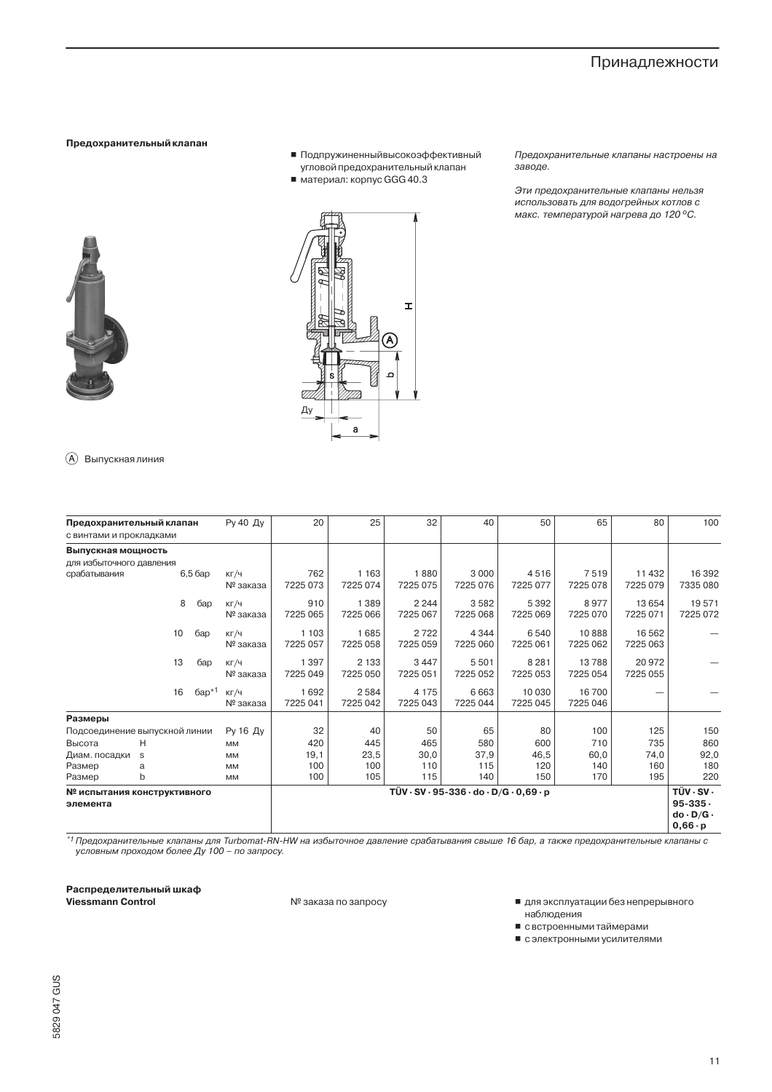#### Предохранительный клапан

- Подпружиненныйвысокоэффективный угловой предохранительный клапан
- $\blacksquare$  материал: корпус GGG 40.3

Предохранительные клапаны настроены на заводе.

Эти предохранительные клапаны нельзя использовать для водогрейных котлов с макс. температурой нагрева до 120 °С.



 $\mathbf{r}$  $(\mathbb{A})$ Ду

(A) Выпускная линия

| Предохранительный клапан<br>с винтами и прокладками |    |           | Ру 40 Ду                                                            | 20                  | 25       | 32       | 40       | 50       | 65       | 80           | 100                  |  |  |
|-----------------------------------------------------|----|-----------|---------------------------------------------------------------------|---------------------|----------|----------|----------|----------|----------|--------------|----------------------|--|--|
|                                                     |    |           |                                                                     |                     |          |          |          |          |          |              |                      |  |  |
| Выпускная мощность                                  |    |           |                                                                     |                     |          |          |          |          |          |              |                      |  |  |
| для избыточного давления                            |    |           |                                                                     |                     |          |          |          |          |          |              |                      |  |  |
| срабатывания                                        |    | $6,56$ ap | КГ/Ч                                                                | 762                 | 1 1 6 3  | 1880     | 3 0 0 0  | 4516     | 7519     | 11 4 32      | 16 3 9 2             |  |  |
|                                                     |    |           | № заказа                                                            | 7225 073            | 7225 074 | 7225 075 | 7225 076 | 7225 077 | 7225 078 | 7225 079     | 7335 080             |  |  |
|                                                     |    | 8<br>бар  | KT/4                                                                | 910                 | 1 3 8 9  | 2 2 4 4  | 3582     | 5 3 9 2  | 8977     | 13 6 54      | 19571                |  |  |
|                                                     |    |           | № заказа                                                            | 7225 065            | 7225 066 | 7225 067 | 7225 068 | 7225 069 | 7225 070 | 7225 071     | 7225 072             |  |  |
|                                                     |    |           |                                                                     |                     |          |          |          |          |          |              |                      |  |  |
|                                                     | 10 | бар       | KT/4                                                                | 1 1 0 3<br>7225 057 | 1685     | 2722     | 4 3 4 4  | 6 5 4 0  | 10888    | 16 5 62      |                      |  |  |
|                                                     |    |           | № заказа                                                            |                     | 7225 058 | 7225 059 | 7225 060 | 7225 061 | 7225 062 | 7225 063     |                      |  |  |
|                                                     | 13 | бар       | KT/4                                                                | 1397                | 2 1 3 3  | 3447     | 5501     | 8 2 8 1  | 13788    | 20 972       |                      |  |  |
|                                                     |    |           | № заказа                                                            | 7225 049            | 7225 050 | 7225 051 | 7225 052 | 7225 053 | 7225 054 | 7225 055     |                      |  |  |
|                                                     | 16 | $6ap*1$   | KT/4                                                                | 1692                | 2584     | 4 1 7 5  | 6663     | 10 0 30  | 16700    |              |                      |  |  |
|                                                     |    |           | № заказа                                                            | 7225 041            | 7225 042 | 7225 043 | 7225 044 | 7225 045 | 7225 046 |              |                      |  |  |
| Размеры                                             |    |           |                                                                     |                     |          |          |          |          |          |              |                      |  |  |
| Подсоединение выпускной линии                       |    |           | Ру 16 Ду                                                            | 32                  | 40       | 50       | 65       | 80       | 100      | 125          | 150                  |  |  |
| Высота                                              | H  |           | <b>MM</b>                                                           | 420                 | 445      | 465      | 580      | 600      | 710      | 735          | 860                  |  |  |
| Диам. посадки                                       | S  |           | <b>MM</b>                                                           | 19,1                | 23,5     | 30,0     | 37,9     | 46,5     | 60,0     | 74,0         | 92,0                 |  |  |
| Размер                                              | a  |           | <b>MM</b>                                                           | 100                 | 100      | 110      | 115      | 120      | 140      | 160          | 180                  |  |  |
| Размер                                              | b  |           | <b>MM</b>                                                           | 100                 | 105      | 115      | 140      | 150      | 170      | 195          | 220                  |  |  |
| № испытания конструктивного                         |    |           | $TUV \cdot SV \cdot 95 - 336 \cdot do \cdot D/G \cdot 0.69 \cdot p$ |                     |          |          |          |          |          |              |                      |  |  |
| элемента                                            |    |           |                                                                     |                     |          |          |          |          |          | $95 - 335 -$ |                      |  |  |
|                                                     |    |           |                                                                     |                     |          |          |          |          |          |              | $do \cdot D/G \cdot$ |  |  |
|                                                     |    |           |                                                                     |                     |          |          |          |          |          |              | $0,66 \cdot p$       |  |  |

\*1 Предохранительные клапаны для Turbomat-RN-HW на избыточное давление срабатывания свыше 16 бар, а также предохранительные клапаны с условным проходом более Ду 100 - по запросу.

Распределительный шкаф Viessmann Control

№ заказа по запросу

■ для эксплуатации без непрерывного наблюдения

■ свстроенными таймерами

■ с электронными усилителями